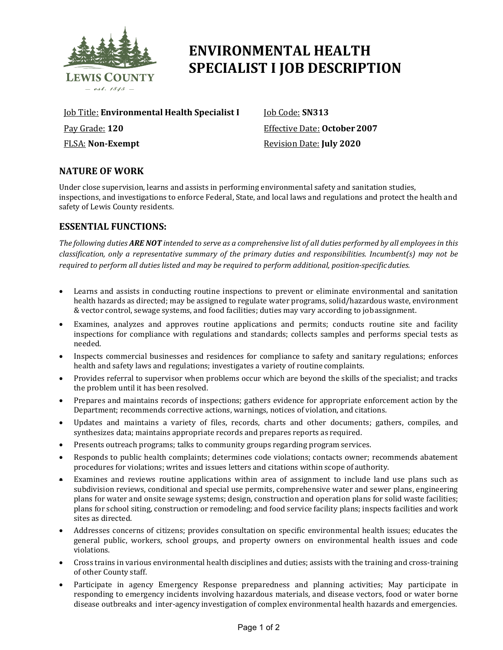

# **ENVIRONMENTAL HEALTH SPECIALIST I JOB DESCRIPTION**

Job Title: **Environmental Health Specialist I** Pay Grade: **120** FLSA: **Non-Exempt**

Job Code: **SN313** Effective Date: **October2007** Revision Date: **July 2020**

# **NATURE OF WORK**

Under close supervision, learns and assists in performing environmental safety and sanitation studies, inspections, and investigations to enforce Federal, State, and local laws and regulations and protect the health and safety of Lewis County residents.

## **ESSENTIAL FUNCTIONS:**

The following duties ARE NOT intended to serve as a comprehensive list of all duties performed by all employees in this *classification, only a representative summary of the primary duties and responsibilities. Incumbent(s) may not be required to perform all duties listed and may be required to perform additional, position-specificduties.*

- Learns and assists in conducting routine inspections to prevent or eliminate environmental and sanitation health hazards as directed; may be assigned to regulate water programs, solid/hazardous waste, environment & vector control, sewage systems, and food facilities; duties may vary according to jobassignment.
- Examines, analyzes and approves routine applications and permits; conducts routine site and facility inspections for compliance with regulations and standards; collects samples and performs special tests as needed.
- Inspects commercial businesses and residences for compliance to safety and sanitary regulations; enforces health and safety laws and regulations; investigates a variety of routine complaints.
- Provides referral to supervisor when problems occur which are beyond the skills of the specialist; and tracks the problem until it has been resolved.
- Prepares and maintains records of inspections; gathers evidence for appropriate enforcement action by the Department; recommends corrective actions, warnings, notices of violation, and citations.
- Updates and maintains a variety of files, records, charts and other documents; gathers, compiles, and synthesizes data; maintains appropriate records and prepares reports as required.
- Presents outreach programs; talks to community groups regarding program services.
- Responds to public health complaints; determines code violations; contacts owner; recommends abatement procedures for violations; writes and issues letters and citations within scope of authority.
- Examines and reviews routine applications within area of assignment to include land use plans such as subdivision reviews, conditional and special use permits, comprehensive water and sewer plans, engineering plans for water and onsite sewage systems; design, construction and operation plans for solid waste facilities; plans for school siting, construction or remodeling; and food service facility plans; inspects facilities and work sites as directed.
- Addresses concerns of citizens; provides consultation on specific environmental health issues; educates the general public, workers, school groups, and property owners on environmental health issues and code violations.
- Cross trains in various environmental health disciplines and duties; assists with the training and cross-training of other County staff.
- Participate in agency Emergency Response preparedness and planning activities; May participate in responding to emergency incidents involving hazardous materials, and disease vectors, food or water borne disease outbreaks and inter-agency investigation of complex environmental health hazards and emergencies.